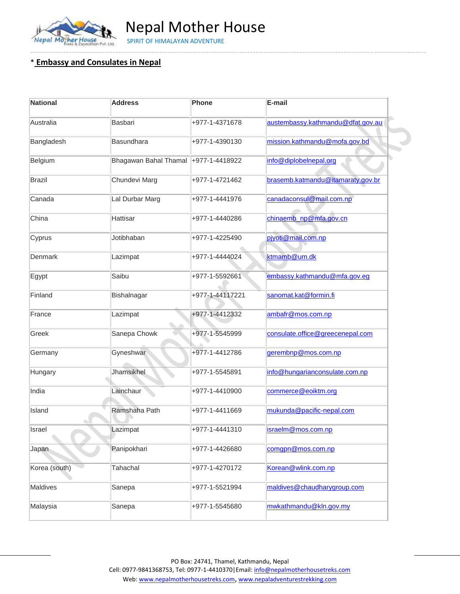

Nepal Mother House SPIRIT OF HIMALAYAN ADVENTURE

## \* **Embassy and Consulates in Nepal**

| National      | <b>Address</b>                        | Phone           | E-mail                            |
|---------------|---------------------------------------|-----------------|-----------------------------------|
| Australia     | Basbari                               | +977-1-4371678  | austembassy.kathmandu@dfat.gov.au |
| Bangladesh    | Basundhara                            | +977-1-4390130  | mission.kathmandu@mofa.gov.bd     |
| Belgium       | Bhagawan Bahal Thamal  +977-1-4418922 |                 | info@diplobelnepal.org            |
| Brazil        | Chundevi Marg                         | +977-1-4721462  | brasemb.katmandu@itamaraty.gov.br |
| Canada        | Lal Durbar Marg                       | +977-1-4441976  | canadaconsul@mail.com.np          |
| China         | Hattisar                              | +977-1-4440286  | chinaemb np@mfa.gov.cn            |
| Cyprus        | Jotibhaban                            | +977-1-4225490  | pjyoti@mail.com.np                |
| Denmark       | Lazimpat                              | +977-1-4444024  | ktmamb@um.dk                      |
| Egypt         | Saibu                                 | +977-1-5592661  | embassy.kathmandu@mfa.gov.eg      |
| Finland       | Bishalnagar                           | +977-1-44117221 | sanomat.kat@formin.fi             |
| France        | Lazimpat                              | +977-1-4412332  | ambafr@mos.com.np                 |
| Greek         | Sanepa Chowk                          | +977-1-5545999  | consulate.office@greecenepal.com  |
| Germany       | Gyneshwar                             | +977-1-4412786  | gerembnp@mos.com.np               |
| Hungary       | Jhamsikhel                            | +977-1-5545891  | info@hungarianconsulate.com.np    |
| India         | Lainchaur                             | +977-1-4410900  | commerce@eoiktm.org               |
| Island        | Ramshaha Path                         | +977-1-4411669  | mukunda@pacific-nepal.com         |
| Israel        | Lazimpat                              | +977-1-4441310  | israelm@mos.com.np                |
| Japan         | Panipokhari                           | +977-1-4426680  | comgpn@mos.com.np                 |
| Korea (south) | Tahachal                              | +977-1-4270172  | Korean@wlink.com.np               |
| Maldives      | Sanepa                                | +977-1-5521994  | maldives@chaudharygroup.com       |
| Malaysia      | Sanepa                                | +977-1-5545680  | mwkathmandu@kln.gov.my            |